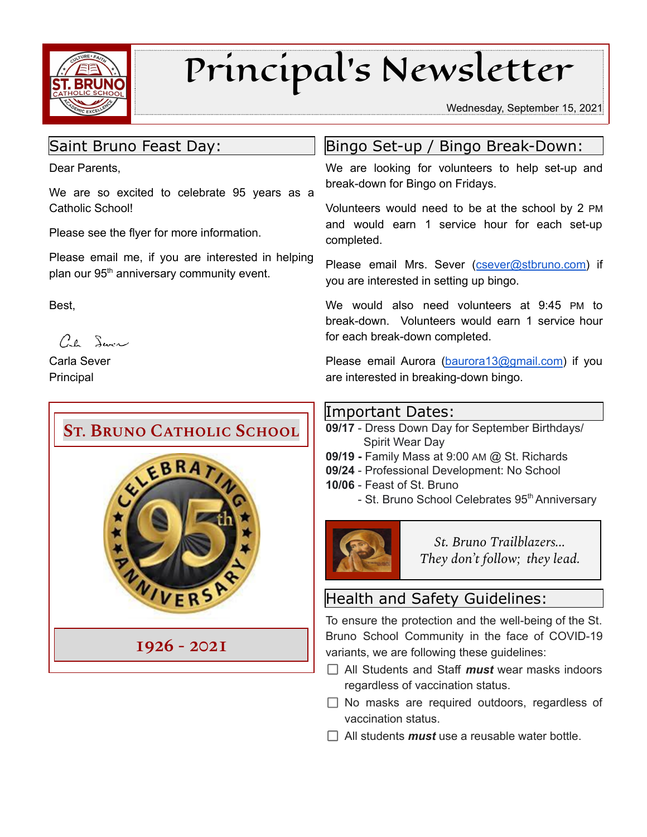

# Principal's Newsletter

Wednesday, September 15, 2021

## Saint Bruno Feast Day:

Dear Parents,

We are so excited to celebrate 95 years as a Catholic School!

Please see the flyer for more information.

Please email me, if you are interested in helping plan our 95<sup>th</sup> anniversary community event.

Best,

 $C_{\ell}$  Sure

Carla Sever Principal



## Bingo Set-up / Bingo Break-Down:

We are looking for volunteers to help set-up and break-down for Bingo on Fridays.

Volunteers would need to be at the school by 2 PM and would earn 1 service hour for each set-up completed.

Please email Mrs. Sever ([csever@stbruno.com\)](mailto:csever@stbruno.com) if you are interested in setting up bingo.

We would also need volunteers at 9:45 PM to break-down. Volunteers would earn 1 service hour for each break-down completed.

Please email Aurora [\(baurora13@gmail.com\)](mailto:baurora13@gmail.com) if you are interested in breaking-down bingo.

#### Important Dates:

- **09/17** Dress Down Day for September Birthdays/ Spirit Wear Day
- **09/19 -** Family Mass at 9:00 AM @ St. Richards
- **09/24** Professional Development: No School
- **10/06** Feast of St. Bruno
	- St. Bruno School Celebrates 95<sup>th</sup> Anniversary



*St. Bruno Trailblazers... They don't follow; they lead.*

## Health and Safety Guidelines:

To ensure the protection and the well-being of the St. Bruno School Community in the face of COVID-19 variants, we are following these guidelines:

- All Students and Staff *must* wear masks indoors regardless of vaccination status.
- $\Box$  No masks are required outdoors, regardless of vaccination status.
- $\Box$  All students **must** use a reusable water bottle.